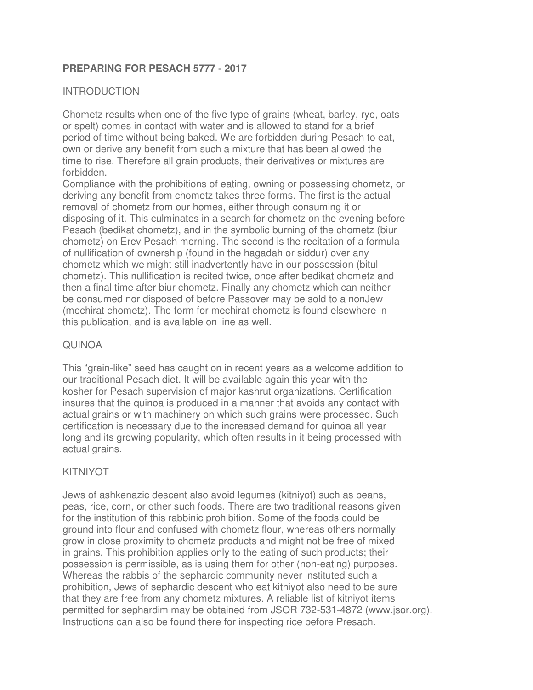### **PREPARING FOR PESACH 5777 - 2017**

### INTRODUCTION

Chometz results when one of the five type of grains (wheat, barley, rye, oats or spelt) comes in contact with water and is allowed to stand for a brief period of time without being baked. We are forbidden during Pesach to eat, own or derive any benefit from such a mixture that has been allowed the time to rise. Therefore all grain products, their derivatives or mixtures are forbidden.

Compliance with the prohibitions of eating, owning or possessing chometz, or deriving any benefit from chometz takes three forms. The first is the actual removal of chometz from our homes, either through consuming it or disposing of it. This culminates in a search for chometz on the evening before Pesach (bedikat chometz), and in the symbolic burning of the chometz (biur chometz) on Erev Pesach morning. The second is the recitation of a formula of nullification of ownership (found in the hagadah or siddur) over any chometz which we might still inadvertently have in our possession (bitul chometz). This nullification is recited twice, once after bedikat chometz and then a final time after biur chometz. Finally any chometz which can neither be consumed nor disposed of before Passover may be sold to a nonJew (mechirat chometz). The form for mechirat chometz is found elsewhere in this publication, and is available on line as well.

### QUINOA

This "grain-like" seed has caught on in recent years as a welcome addition to our traditional Pesach diet. It will be available again this year with the kosher for Pesach supervision of major kashrut organizations. Certification insures that the quinoa is produced in a manner that avoids any contact with actual grains or with machinery on which such grains were processed. Such certification is necessary due to the increased demand for quinoa all year long and its growing popularity, which often results in it being processed with actual grains.

### KITNIYOT

Jews of ashkenazic descent also avoid legumes (kitniyot) such as beans, peas, rice, corn, or other such foods. There are two traditional reasons given for the institution of this rabbinic prohibition. Some of the foods could be ground into flour and confused with chometz flour, whereas others normally grow in close proximity to chometz products and might not be free of mixed in grains. This prohibition applies only to the eating of such products; their possession is permissible, as is using them for other (non-eating) purposes. Whereas the rabbis of the sephardic community never instituted such a prohibition, Jews of sephardic descent who eat kitniyot also need to be sure that they are free from any chometz mixtures. A reliable list of kitniyot items permitted for sephardim may be obtained from JSOR 732-531-4872 (www.jsor.org). Instructions can also be found there for inspecting rice before Presach.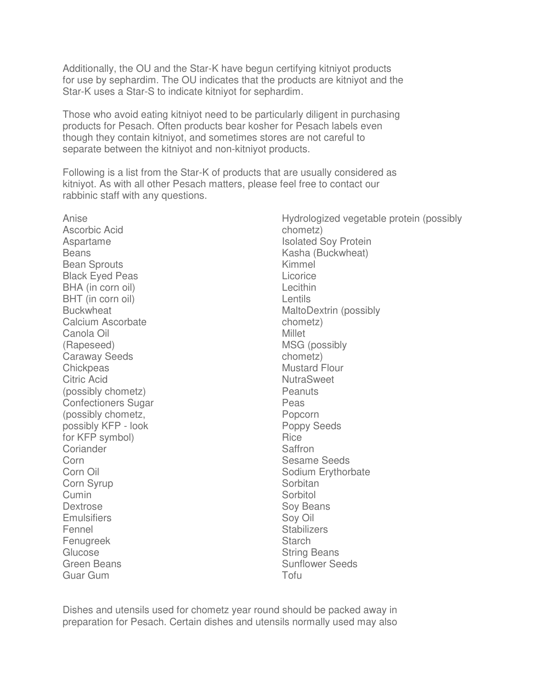Additionally, the OU and the Star-K have begun certifying kitniyot products for use by sephardim. The OU indicates that the products are kitniyot and the Star-K uses a Star-S to indicate kitniyot for sephardim.

Those who avoid eating kitniyot need to be particularly diligent in purchasing products for Pesach. Often products bear kosher for Pesach labels even though they contain kitniyot, and sometimes stores are not careful to separate between the kitniyot and non-kitniyot products.

Following is a list from the Star-K of products that are usually considered as kitniyot. As with all other Pesach matters, please feel free to contact our rabbinic staff with any questions.

Anise Ascorbic Acid Aspartame **Beans** Bean Sprouts Black Eyed Peas BHA (in corn oil) BHT (in corn oil) **Buckwheat** Calcium Ascorbate Canola Oil (Rapeseed) Caraway Seeds **Chickpeas** Citric Acid (possibly chometz) Confectioners Sugar (possibly chometz, possibly KFP - look for KFP symbol) Coriander Corn Corn Oil Corn Syrup Cumin **Dextrose Emulsifiers** Fennel Fenugreek **Glucose** Green Beans Guar Gum

Hydrologized vegetable protein (possibly chometz) Isolated Soy Protein Kasha (Buckwheat) Kimmel **Licorice** Lecithin **Lentils** MaltoDextrin (possibly chometz) Millet MSG (possibly chometz) Mustard Flour **NutraSweet** Peanuts Peas Popcorn Poppy Seeds Rice Saffron Sesame Seeds Sodium Erythorbate **Sorbitan Sorbitol** Soy Beans Soy Oil **Stabilizers Starch** String Beans Sunflower Seeds

Dishes and utensils used for chometz year round should be packed away in preparation for Pesach. Certain dishes and utensils normally used may also

Tofu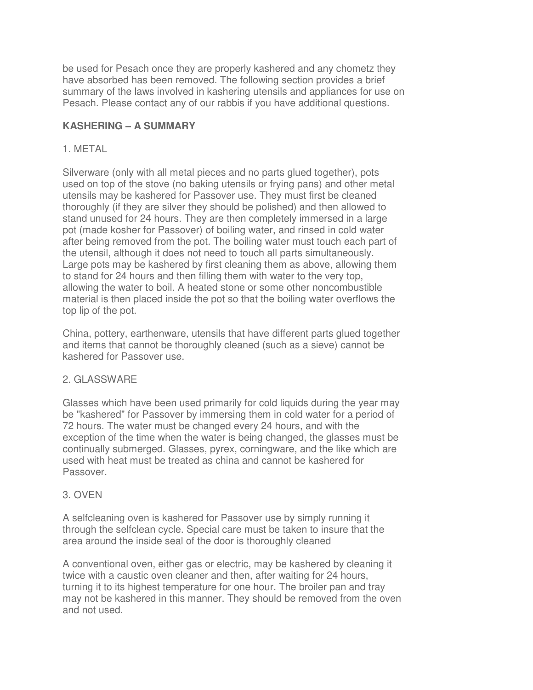be used for Pesach once they are properly kashered and any chometz they have absorbed has been removed. The following section provides a brief summary of the laws involved in kashering utensils and appliances for use on Pesach. Please contact any of our rabbis if you have additional questions.

# **KASHERING – A SUMMARY**

## 1. METAL

Silverware (only with all metal pieces and no parts glued together), pots used on top of the stove (no baking utensils or frying pans) and other metal utensils may be kashered for Passover use. They must first be cleaned thoroughly (if they are silver they should be polished) and then allowed to stand unused for 24 hours. They are then completely immersed in a large pot (made kosher for Passover) of boiling water, and rinsed in cold water after being removed from the pot. The boiling water must touch each part of the utensil, although it does not need to touch all parts simultaneously. Large pots may be kashered by first cleaning them as above, allowing them to stand for 24 hours and then filling them with water to the very top, allowing the water to boil. A heated stone or some other noncombustible material is then placed inside the pot so that the boiling water overflows the top lip of the pot.

China, pottery, earthenware, utensils that have different parts glued together and items that cannot be thoroughly cleaned (such as a sieve) cannot be kashered for Passover use.

## 2. GLASSWARE

Glasses which have been used primarily for cold liquids during the year may be "kashered" for Passover by immersing them in cold water for a period of 72 hours. The water must be changed every 24 hours, and with the exception of the time when the water is being changed, the glasses must be continually submerged. Glasses, pyrex, corningware, and the like which are used with heat must be treated as china and cannot be kashered for Passover.

# 3. OVEN

A selfcleaning oven is kashered for Passover use by simply running it through the selfclean cycle. Special care must be taken to insure that the area around the inside seal of the door is thoroughly cleaned

A conventional oven, either gas or electric, may be kashered by cleaning it twice with a caustic oven cleaner and then, after waiting for 24 hours, turning it to its highest temperature for one hour. The broiler pan and tray may not be kashered in this manner. They should be removed from the oven and not used.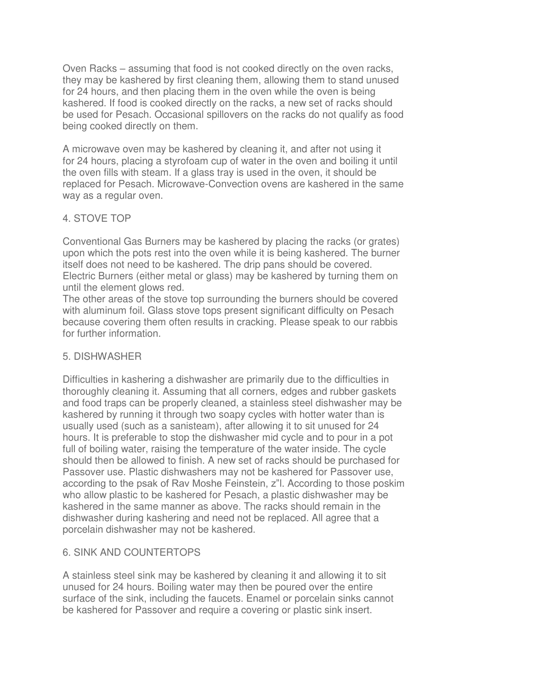Oven Racks – assuming that food is not cooked directly on the oven racks, they may be kashered by first cleaning them, allowing them to stand unused for 24 hours, and then placing them in the oven while the oven is being kashered. If food is cooked directly on the racks, a new set of racks should be used for Pesach. Occasional spillovers on the racks do not qualify as food being cooked directly on them.

A microwave oven may be kashered by cleaning it, and after not using it for 24 hours, placing a styrofoam cup of water in the oven and boiling it until the oven fills with steam. If a glass tray is used in the oven, it should be replaced for Pesach. Microwave-Convection ovens are kashered in the same way as a regular oven.

# 4. STOVE TOP

Conventional Gas Burners may be kashered by placing the racks (or grates) upon which the pots rest into the oven while it is being kashered. The burner itself does not need to be kashered. The drip pans should be covered. Electric Burners (either metal or glass) may be kashered by turning them on until the element glows red.

The other areas of the stove top surrounding the burners should be covered with aluminum foil. Glass stove tops present significant difficulty on Pesach because covering them often results in cracking. Please speak to our rabbis for further information.

### 5. DISHWASHER

Difficulties in kashering a dishwasher are primarily due to the difficulties in thoroughly cleaning it. Assuming that all corners, edges and rubber gaskets and food traps can be properly cleaned, a stainless steel dishwasher may be kashered by running it through two soapy cycles with hotter water than is usually used (such as a sanisteam), after allowing it to sit unused for 24 hours. It is preferable to stop the dishwasher mid cycle and to pour in a pot full of boiling water, raising the temperature of the water inside. The cycle should then be allowed to finish. A new set of racks should be purchased for Passover use. Plastic dishwashers may not be kashered for Passover use, according to the psak of Rav Moshe Feinstein, z"l. According to those poskim who allow plastic to be kashered for Pesach, a plastic dishwasher may be kashered in the same manner as above. The racks should remain in the dishwasher during kashering and need not be replaced. All agree that a porcelain dishwasher may not be kashered.

## 6. SINK AND COUNTERTOPS

A stainless steel sink may be kashered by cleaning it and allowing it to sit unused for 24 hours. Boiling water may then be poured over the entire surface of the sink, including the faucets. Enamel or porcelain sinks cannot be kashered for Passover and require a covering or plastic sink insert.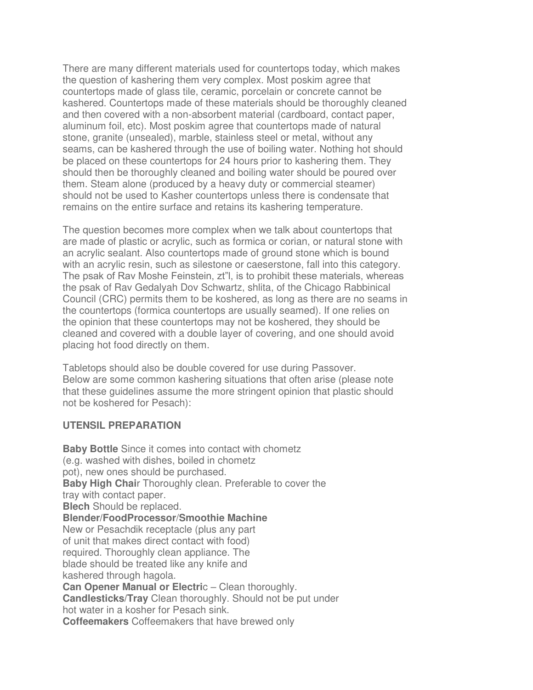There are many different materials used for countertops today, which makes the question of kashering them very complex. Most poskim agree that countertops made of glass tile, ceramic, porcelain or concrete cannot be kashered. Countertops made of these materials should be thoroughly cleaned and then covered with a non-absorbent material (cardboard, contact paper, aluminum foil, etc). Most poskim agree that countertops made of natural stone, granite (unsealed), marble, stainless steel or metal, without any seams, can be kashered through the use of boiling water. Nothing hot should be placed on these countertops for 24 hours prior to kashering them. They should then be thoroughly cleaned and boiling water should be poured over them. Steam alone (produced by a heavy duty or commercial steamer) should not be used to Kasher countertops unless there is condensate that remains on the entire surface and retains its kashering temperature.

The question becomes more complex when we talk about countertops that are made of plastic or acrylic, such as formica or corian, or natural stone with an acrylic sealant. Also countertops made of ground stone which is bound with an acrylic resin, such as silestone or caeserstone, fall into this category. The psak of Rav Moshe Feinstein, zt"l, is to prohibit these materials, whereas the psak of Rav Gedalyah Dov Schwartz, shlita, of the Chicago Rabbinical Council (CRC) permits them to be koshered, as long as there are no seams in the countertops (formica countertops are usually seamed). If one relies on the opinion that these countertops may not be koshered, they should be cleaned and covered with a double layer of covering, and one should avoid placing hot food directly on them.

Tabletops should also be double covered for use during Passover. Below are some common kashering situations that often arise (please note that these guidelines assume the more stringent opinion that plastic should not be koshered for Pesach):

### **UTENSIL PREPARATION**

**Baby Bottle** Since it comes into contact with chometz (e.g. washed with dishes, boiled in chometz pot), new ones should be purchased. **Baby High Chai**r Thoroughly clean. Preferable to cover the tray with contact paper. **Blech** Should be replaced. **Blender/FoodProcessor**/**Smoothie Machine** New or Pesachdik receptacle (plus any part of unit that makes direct contact with food) required. Thoroughly clean appliance. The blade should be treated like any knife and kashered through hagola. **Can Opener Manual or Electric – Clean thoroughly. Candlesticks/Tray** Clean thoroughly. Should not be put under hot water in a kosher for Pesach sink. **Coffeemakers** Coffeemakers that have brewed only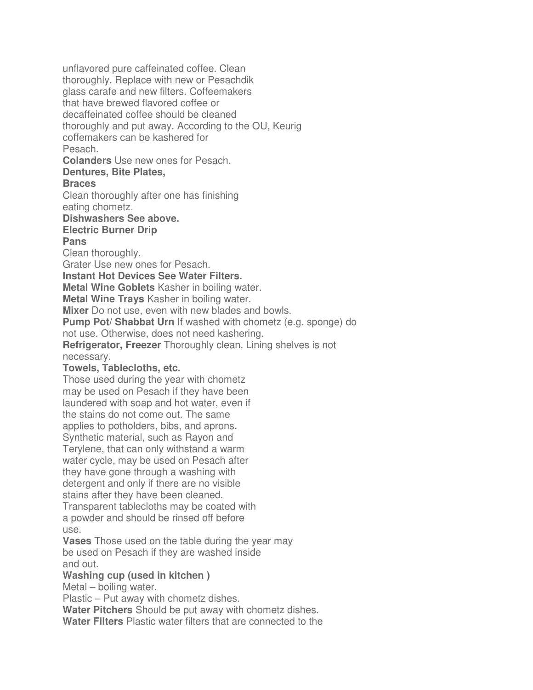unflavored pure caffeinated coffee. Clean thoroughly. Replace with new or Pesachdik glass carafe and new filters. Coffeemakers that have brewed flavored coffee or decaffeinated coffee should be cleaned thoroughly and put away. According to the OU, Keurig coffemakers can be kashered for Pesach. **Colanders** Use new ones for Pesach. **Dentures, Bite Plates, Braces** Clean thoroughly after one has finishing eating chometz. **Dishwashers See above. Electric Burner Drip Pans** Clean thoroughly. Grater Use new ones for Pesach. **Instant Hot Devices See Water Filters. Metal Wine Goblets** Kasher in boiling water. **Metal Wine Trays** Kasher in boiling water. **Mixer** Do not use, even with new blades and bowls. **Pump Pot/ Shabbat Urn** If washed with chometz (e.g. sponge) do not use. Otherwise, does not need kashering. **Refrigerator, Freezer** Thoroughly clean. Lining shelves is not necessary. **Towels, Tablecloths, etc.** Those used during the year with chometz may be used on Pesach if they have been laundered with soap and hot water, even if the stains do not come out. The same applies to potholders, bibs, and aprons. Synthetic material, such as Rayon and Terylene, that can only withstand a warm water cycle, may be used on Pesach after they have gone through a washing with detergent and only if there are no visible stains after they have been cleaned. Transparent tablecloths may be coated with a powder and should be rinsed off before use. **Vases** Those used on the table during the year may be used on Pesach if they are washed inside and out. **Washing cup (used in kitchen )** Metal – boiling water. Plastic – Put away with chometz dishes. **Water Pitchers** Should be put away with chometz dishes.

**Water Filters** Plastic water filters that are connected to the